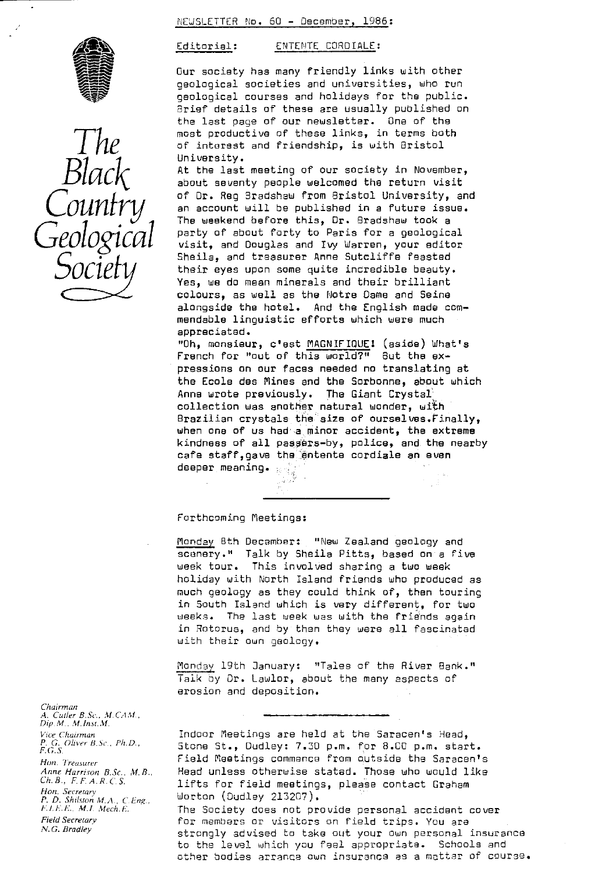NEWSLETTER No. 60 - December, 1985:



*The Black County Geological Socie*

Editorial: ENTENTE CORDIALE:

Our society has many friendly links with other geological societies and universities, who run geological courses and holidays for the public. Brief details of these are usually published on the last page of our newsletter. One of the most productive of these links, in terms both of interest and friendship, is with Bristol University.

At the last meeting of our society in November, about seventy people welcomed the return visit of Dr. Reg 3radshew from Bristol University, and an account will be published in a future issue. The weekend before this, Or. Bradshaw took a party of about forty to Paris for a geological visit, and Douglas and Ivy Warren, your editor Sheila, and treasurer Anne Sutcliffe feasted their eyes upon some quite incredible beauty. Yes, we do mean minerals and their brilliant colours, as well as the Notre Dame and Seine alongside the hotel. And the English made commendable linguistic efforts which were much appreciated.

"Oh, monsieur, c'est <u>MAGNIFIQUE</u>! (aside) What's French for "out of this world?" But the expressions on our faces needed no translating at the Ecole des Mines and the Sorbonne, about which Anne wrote previously. The Giant Crystal collection was another natural wonder, with Brazilian crystals the size of ourselves.Finally, when one of us had a minor accident, the extreme kindness of all passers-by, police, and the nearby cafe staff,gave the entente cordiale an even cafe suarrys.<br>deeper meaning.

#### Forthcoming Meetings:

Monday 8th December: "New Zealand geology and scenery." Talk by Sheila Pitts, based on a five week tour. This involved sharing a two week holiday with North island friends who produced as much geology as they could think of, then touring in South Island which is very different, for two weeks. The last week was with the friends again in Rotorua, and by then they were all fascinated with their own geology.

Monday 19th January: "Tales of the River Bank." Talk by Dr. Lawlor, about the many aspects of erosion and deposition.

*Chairman A. Curler B.Sc., M.CAM , Dip M. M.Inst.M. Vice Chairman P. G. Oliver B.Sc., Ph.D., F.G.S. Hun. Treasurer Anne Harrison B.Sc.. M. B. Ch. B., F. F. A. R. C. S. Han. Secretary P. D. Shdsron MA., C.L•:ng.. h'!.F.F... ML. Merh.h'. Field Secretary N. G. Bradley*

Indoor Meetings are held at the Saracen's Head, Stone St., Dudley: 7.30 p.m. for B.CC p.m. start. Field Meetings commence from outside the Saracen's Head unless otherwise stated. Those who would like lifts for field meetings, please contact Graham Morton (Dudley 213207). The Society does not provide personal accident cover for members or visitors on field trips. You are strongly advised to take out your own personal insurance to the level which you feel appropriate. Schools and

other bodies arranca own insurance as a matter of course.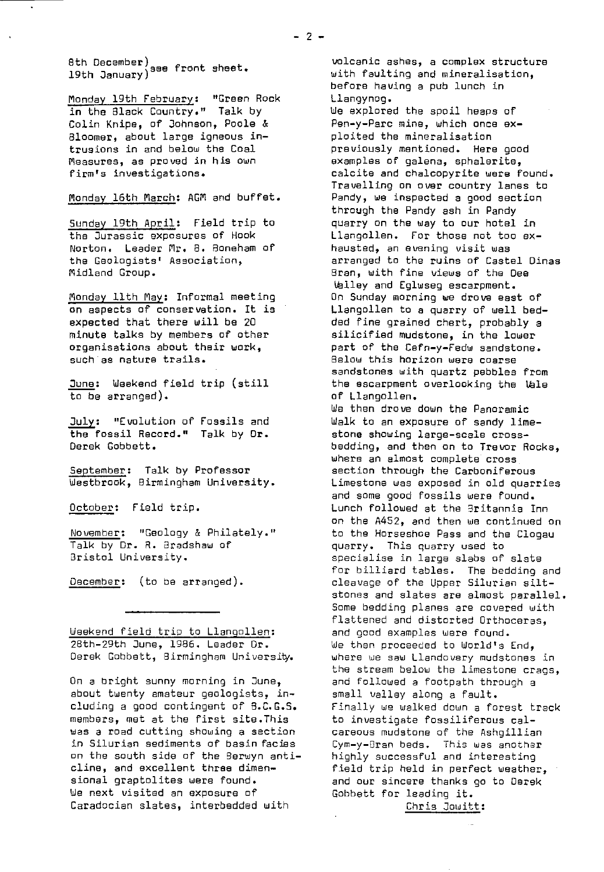sen boorm-er)see front sheet.<br>19th January)

Monday 19th February: "Green Rock **in** the Black Country." Talk by Colin Knipe, of Johnson, Poole & Bloomer, about large igneous intrusions in and below the Coal Measures, as proved in his own firm's investigations.

# Monday 16th March: AGM and buffet.

Sunday 19th April: Field trip to the Jurassic exposures of Hook Norton. Leader Mr. B. Boneham of the Geologists' Association, Midland Group.

Monday 11th May: Informal meeting on aspects of conservation. It is expected that there will be 20 minute talks by members of other organisations about their work, such as nature trails.

June: Weekend field trip (still to be arranged).

July: "Evolution of Fossils and the fossil. Record." Talk by Or. Derek Gobbett.

September: Talk by Professor Westbrook, Birmingham University.

October: Field trip.

November: "Geology & Philately." Talk by Dr. R. Bradshaw of Bristol University.

December: (to be arranged).

Weekend field trip to Llangollen: 28th-29th June, 1986. Leader Dr. Derek Gobbett, Birmingham University.

On a bright sunny morning in June, about twenty amateur geologists, including a good contingent of B.C.G.S. members, met at the first site.This was a road cutting showing a section in Silurian sediments of basin facies on the south side of the Berwyn anticline, and excellent three dimensional graptolites were found. We next visited an exposure of Caradocien slates, interbedded with

volcanic ashes, a complex structure with faulting and mineralisation, before having a pub lunch in Llangynog.

We explored the spoil heaps of Pen-y-Parc mine, which once exploited the mineralisation previously mentioned. Here good examples of galena, sphalerite, calcite and chalcopyrite were found. Travelling on over country lanes to Pandy, we inspected a good section through the Pandy ash in Pandy quarry on the way to our hotel in Llangollen. For those not too exhausted, an evening visit was arranged to the ruins of Castel Dinas Bran, with fine views of the Dee Valley and Eglwseg escarpment. On Sunday morning we drove east of Llangollen to a quarry of well bedded fine grained chert, probably a silicified mudstone, in the lower part of the Cefn-y-Fedw sandstone. Below this horizon were coarse sandstones with quartz pebbles from the escarpment overlooking the Vale of Llangollen. We then drove down the Panoramic Walk to an exposure of sandy limestone showing large-scale crossbedding, and then on to Trevor Rocks, *where* an almost complete cross section through the Carboniferous Limestone was exposed in old quarries

and some good fossils were found. Lunch followed at the Britannia Inn on the A452, and then we continued on to the Horseshoe Pass and the Clogau quarry. This quarry used to specialise in large slabs of slate for billiard tables. The bedding and cleavage of the Upper Silurian siltstones and slates are almost parallel. Some bedding planes are covered with flattened and distorted Orthoceras, and good examples were found. We then proceeded to World's End, where we saw Llandovery mudstones in the stream below the limestone crags, and followed a footpath through a small valley along a fault. Finally we walked down a forest track to investigate fossiliferous calcareous mudstone of the Ashgillian Cyr-y-gran beds. This was another highly successful and interesting field trip held in perfect weather, and our sincere thanks go to Derek Gohbett for leading it.

Chris Jowitt :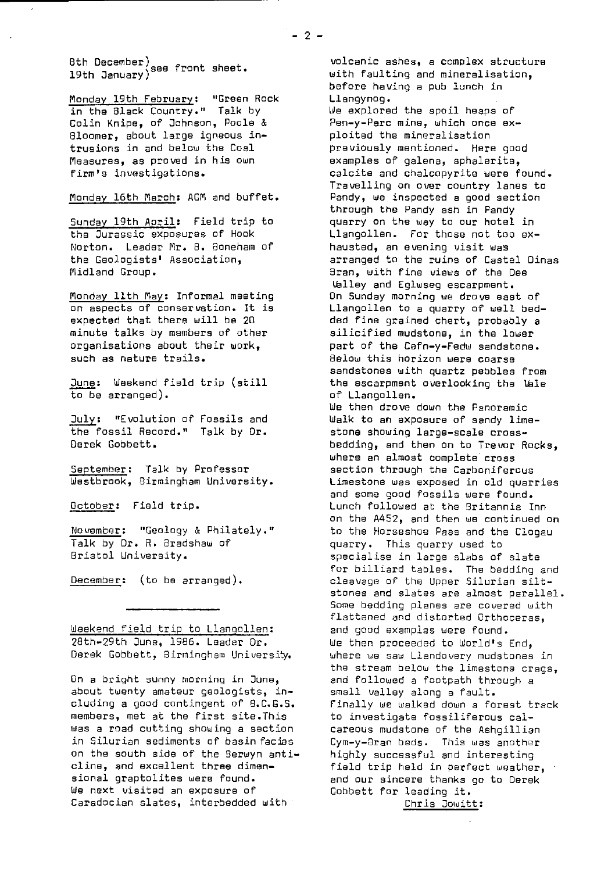8th December) see front sheet. 19th January)

Monday 19th February: "Green Rock in the Black Country." Talk by Colin Knipe, of Johnson, Poole & Bloomer, about large igneous intrusions in and below the Coal Measures, as proved in his own firm's investigations.

Monday 16th March: AGM and buffet.

Sunday 19th April: Field trip to the Jurassic exposures of Hook Norton, Leader Mr. 8. 8oneham of the Geologists' Association, Midland Group.

Monday 11th May: Informal meeting on aspects of conservation. It is expected that there will be 2D minute talks by members of other organisations about their work, such as nature trails.

June: Weekend field trip (still to be arranged).

July: "Evolution of Fossils and the fossil Record." Talk by Dr. Derek Gobbett.

September: Talk by Professor Westbrook, Birmingham University.

October: Field trip.

November: "Geology & Philately." Talk by Dr. R. Bradshaw of Bristol University.

 $December:$  (to be arranged).

Weekend field trip to Llangollen : 28th-29th June, 1986. Leader Dr. Derek Gobbett, Birmingham University.

On a bright sunny morning in June, about twenty amateur geologists, including a good contingent of 8.C.G.S. members, met at the first site.This was a road cutting showing a section in Silurian sediments of basin facies on the south side of the Berwyn anticline, and excellent three dimensional graptolites were found. We next visited an exposure of Caradocian slates, interbedded with

volcanic ashes, a complex structure with faulting and mineralisation, before having a pub lunch in Llangynog.

We explored the spoil heaps of Pen-y-Parc mine, which once exploited the mineralisation previously mentioned. Here good examples of galena, sphalerite, calcite and chalcopyrite were found. Travelling on over country lanes to Pandy, we inspected a good section through the Pandy ash in Pandy quarry on the way to our hotel in Llangollen. For those not too exhausted, an evening visit was arranged to the ruins of Castel Dinas Bran, with fine views of the Dee Ualley and Eglwseg escarpment. On Sunday morning we drove east of Llangollen to a quarry of well bedded fine grained chart, probably a silicified mudstone, in the lower part of the Cefn-y-Fedw sandstone. Below this horizon were coarse sandstones with quartz pebbles from the escarpment overlooking the Wale of Llangollen. We then drove down *the* Panoramic Walk to an exposure of sandy limestone showing large-scale crossbedding, and then on to Trevor Rocks, where an almost complete cross section through the Carboniferous Limestone was exposed in old quarries and some good fossils were found. Lunch followed at the Britannia Inn on the A452, and then we continued on to the Horseshoe Pass and the Clogau quarry. This quarry used to specialise in large slabs of slate for billiard tables. The bedding and cleavage of the Upper Silurian siltstones and slates are almost parallel. Some bedding planes are covered with flattened and distorted Orthoceras, and good examples were found. We then proceeded to World's End, where we saw Llandovery mudstones in the stream below the limestone crags, and followed a footpath through a small valley along a fault. Finally we walked down a forest track to investigate fossiliferous calcareous mudstone of the Ashgillian Cym-y-Bran beds. This was another highly successful and interesting field trip held in perfect weather, and our sincere thanks go to Derek Gobbett for leading it.

Chris Jowitt :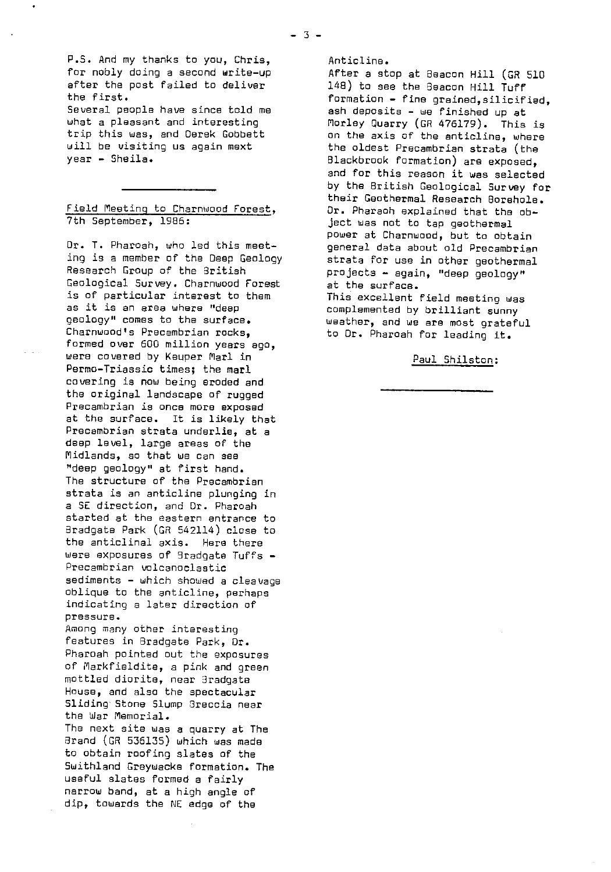P.S. And my thanks to you, Chris, for nobly doing a second write-up after the post failed to deliver the first.

Several people have since told me what a pleasant and interesting trip this was, and Derek Gobbett will be visiting us again mext year - Sheila.

## Field Meeting to Charnwood Forest , 7th September, 1986:

Dr. T. Pharoah, who led this meeting is a member of the Deep Geology Research Group of the British Geological Survey. Charnwood Forest is of particular interest to them as it is an area where "deep geology" comes to the surface, Charnwood's Precambrian rocks, formed over 600 million years ago, were covered by Keuper Marl in Permo-Triassic times; the marl covering is now being eroded and the original landscape of rugged Precambrian is once more exposed at the surface. It is likely that Precambrian strata underlie, at a deep level, large areas of the Midlands, so that we can see "deep geology" at first hand. The structure of the Precambrian strata is an anticline plunging in a SC direction, and Dr. Pharoah started at the eastern entrance to Bradgate Park (GR 542114) close to the anticlinal axis. Here there were exposures of Bradgate Tuffs - Precambrian volcanoclastic sediments - which showed a cleavage oblique to the anticline, perhaps indicating a later direction of pressure. Among many other interesting features in Bradgate Park, Dr. Pharoah pointed out the exposures of Markfieldite, a pink and green mottled diorite, near 3radgate House, and also the spectacular Sliding Stone Slump Sreccia near the War Memorial.

The next site was a quarry at The Brand (GR 536135) which was made to obtain roofing slates of the Swithland Creywacke formation. The useful slates formed a fairly narrow band, at a high angle of dip, towards the NE edge of the

Anticline.

After a stop at Beacon Hill (GR 510 148) to see the Beacon Hill Tuff formation - fine grained,silicified, ash deposits - we finished up at Morley Quarry (GR 476179). This is on the axis of the anticline, where the oldest Precambrian strata (the Blackbrook formation) are exposed, and for this reason it was selected by the British Geological Survey for their Geothermal Research Borehole, Dr. Pharaoh explained that the object was not to tap geothermal power at Charnwood, but to obtain general data about old Precambrian strata for use in other geothermal projects - again, "deep geology" at the surface. This excellent field meeting was complemented by brilliant sunny weather, and we are most grateful to Dr. Pharoah for leading it.

Paul Shilston: